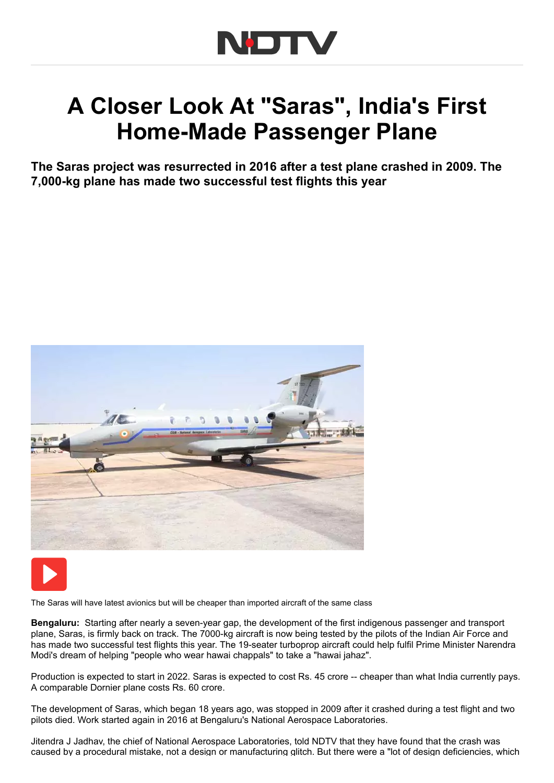

## A Closer Look At "Saras", India's First Home-Made Passenger Plane

The Saras project was resurrected in 2016 after a test plane crashed in 2009. The 7,000-kg plane has made two successful test flights this year





The Saras will have latest avionics but will be cheaper than imported aircraft of the same class

Bengaluru: Starting after nearly a seven-year gap, the development of the first indigenous passenger and transport plane, Saras, is firmly back on track. The 7000-kg aircraft is now being tested by the pilots of the Indian Air Force and has made two successful test flights this year. The 19-seater turboprop aircraft could help fulfil Prime Minister Narendra Modi's dream of helping "people who wear hawai chappals" to take a "hawai jahaz".

Production is expected to start in 2022. Saras is expected to cost Rs. 45 crore -- cheaper than what India currently pays. A comparable Dornier plane costs Rs. 60 crore.

The development of Saras, which began 18 years ago, was stopped in 2009 after it crashed during a test flight and two pilots died. Work started again in 2016 at Bengaluru's National Aerospace Laboratories.

Jitendra J Jadhav, the chief of National Aerospace Laboratories, told NDTV that they have found that the crash was caused by a procedural mistake, not a design or manufacturing glitch. But there were a "lot of design deficiencies, which